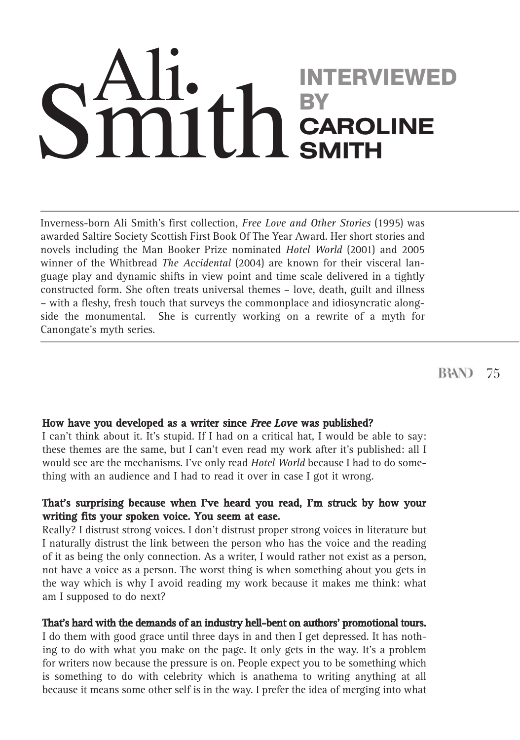# INTERVIEWED **BY CAROLINE SMITH**  $\eta$ 1f

Inverness-born Ali Smith's first collection, *Free Love and Other Stories* (1995) was awarded Saltire Society Scottish First Book Of The Year Award. Her short stories and novels including the Man Booker Prize nominated *Hotel World* (2001) and 2005 winner of the Whitbread *The Accidental* (2004) are known for their visceral language play and dynamic shifts in view point and time scale delivered in a tightly constructed form. She often treats universal themes – love, death, guilt and illness – with a fleshy, fresh touch that surveys the commonplace and idiosyncratic alongside the monumental. She is currently working on a rewrite of a myth for Canongate's myth series.

**B3AN** 75

# **How have you developed as a writer since Free Love was published?**

I can't think about it. It's stupid. If I had on a critical hat, I would be able to say: these themes are the same, but I can't even read my work after it's published: all I would see are the mechanisms. I've only read *Hotel World* because I had to do something with an audience and I had to read it over in case I got it wrong.

# **That's surprising because when I've heard you read, I'm struck by how your writing fits your spoken voice. You seem at ease.**

Really? I distrust strong voices. I don't distrust proper strong voices in literature but I naturally distrust the link between the person who has the voice and the reading of it as being the only connection. As a writer, I would rather not exist as a person, not have a voice as a person. The worst thing is when something about you gets in the way which is why I avoid reading my work because it makes me think: what am I supposed to do next?

#### **That's hard with the demands of an industry hell-bent on authors' promotional tours.**

I do them with good grace until three days in and then I get depressed. It has nothing to do with what you make on the page. It only gets in the way. It's a problem for writers now because the pressure is on. People expect you to be something which is something to do with celebrity which is anathema to writing anything at all because it means some other self is in the way. I prefer the idea of merging into what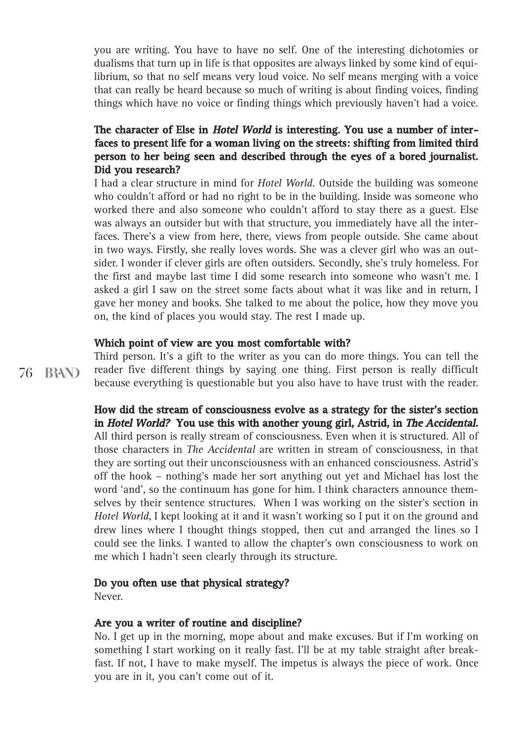you are writing. You have to have no self. One of the interesting dichotomies or dualisms that turn up in life is that opposites are always linked by some kind of equilibrium, so that no self means very loud voice. No self means merging with a voice that can really be heard because so much of writing is about finding voices, finding things which have no voice or finding things which previously haven't had a voice.

# **The character of Else in Hotel World is interesting. You use a number of interfaces to present life for a woman living on the streets: shifting from limited third person to her being seen and described through the eyes of a bored journalist. Did you research?**

I had a clear structure in mind for *Hotel World.* Outside the building was someone who couldn't afford or had no right to be in the building. Inside was someone who worked there and also someone who couldn't afford to stay there as a guest. Else was always an outsider but with that structure, you immediately have all the interfaces. There's a view from here, there, views from people outside. She came about in two ways. Firstly, she really loves words. She was a clever girl who was an outsider. I wonder if clever girls are often outsiders. Secondly, she's truly homeless. For the first and maybe last time I did some research into someone who wasn't me. I asked a girl I saw on the street some facts about what it was like and in return, I gave her money and books. She talked to me about the police, how they move you on, the kind of places you would stay. The rest I made up.

#### **Which point of view are you most comfortable with?**

76 B3AN) Third person. It's a gift to the writer as you can do more things. You can tell the reader five different things by saying one thing. First person is really difficult because everything is questionable but you also have to have trust with the reader.

# **How did the stream of consciousness evolve as a strategy for the sister's section in Hotel World? You use this with another young girl, Astrid, in The Accidental.** All third person is really stream of consciousness. Even when it is structured. All of those characters in *The Accidental* are written in stream of consciousness, in that they are sorting out their unconsciousness with an enhanced consciousness. Astrid's off the hook – nothing's made her sort anything out yet and Michael has lost the word 'and', so the continuum has gone for him. I think characters announce them-

selves by their sentence structures. When I was working on the sister's section in *Hotel World*, I kept looking at it and it wasn't working so I put it on the ground and drew lines where I thought things stopped, then cut and arranged the lines so I could see the links. I wanted to allow the chapter's own consciousness to work on me which I hadn't seen clearly through its structure.

#### **Do you often use that physical strategy?**

Never.

#### **Are you a writer of routine and discipline?**

No. I get up in the morning, mope about and make excuses. But if I'm working on something I start working on it really fast. I'll be at my table straight after breakfast. If not, I have to make myself. The impetus is always the piece of work. Once you are in it, you can't come out of it.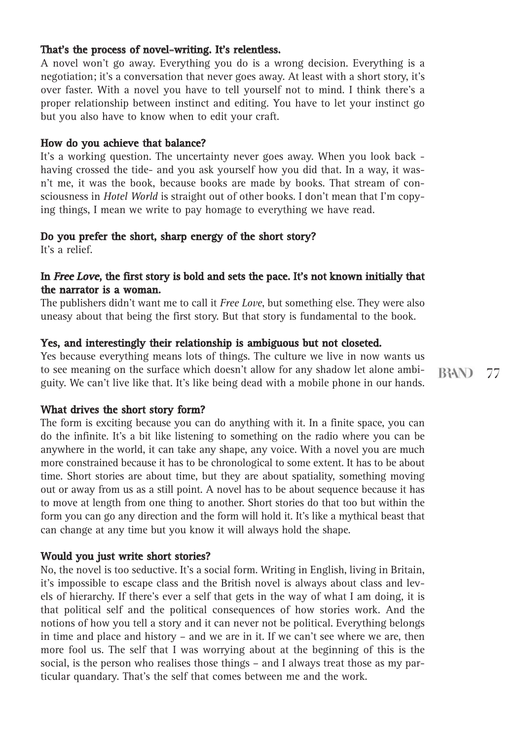## **That's the process of novel-writing. It's relentless.**

A novel won't go away. Everything you do is a wrong decision. Everything is a negotiation; it's a conversation that never goes away. At least with a short story, it's over faster. With a novel you have to tell yourself not to mind. I think there's a proper relationship between instinct and editing. You have to let your instinct go but you also have to know when to edit your craft.

#### **How do you achieve that balance?**

It's a working question. The uncertainty never goes away. When you look back having crossed the tide- and you ask yourself how you did that. In a way, it wasn't me, it was the book, because books are made by books. That stream of consciousness in *Hotel World* is straight out of other books. I don't mean that I'm copying things, I mean we write to pay homage to everything we have read.

#### **Do you prefer the short, sharp energy of the short story?**

It's a relief.

#### **In Free Love, the first story is bold and sets the pace. It's not known initially that the narrator is a woman.**

The publishers didn't want me to call it *Free Love*, but something else. They were also uneasy about that being the first story. But that story is fundamental to the book.

#### **Yes, and interestingly their relationship is ambiguous but not closeted.**

Yes because everything means lots of things. The culture we live in now wants us to see meaning on the surface which doesn't allow for any shadow let alone ambiguity. We can't live like that. It's like being dead with a mobile phone in our hands.

**What drives the short story form?**

The form is exciting because you can do anything with it. In a finite space, you can do the infinite. It's a bit like listening to something on the radio where you can be anywhere in the world, it can take any shape, any voice. With a novel you are much more constrained because it has to be chronological to some extent. It has to be about time. Short stories are about time, but they are about spatiality, something moving out or away from us as a still point. A novel has to be about sequence because it has to move at length from one thing to another. Short stories do that too but within the form you can go any direction and the form will hold it. It's like a mythical beast that can change at any time but you know it will always hold the shape.

#### **Would you just write short stories?**

No, the novel is too seductive. It's a social form. Writing in English, living in Britain, it's impossible to escape class and the British novel is always about class and levels of hierarchy. If there's ever a self that gets in the way of what I am doing, it is that political self and the political consequences of how stories work. And the notions of how you tell a story and it can never not be political. Everything belongs in time and place and history – and we are in it. If we can't see where we are, then more fool us. The self that I was worrying about at the beginning of this is the social, is the person who realises those things – and I always treat those as my particular quandary. That's the self that comes between me and the work.

**B3AN** 77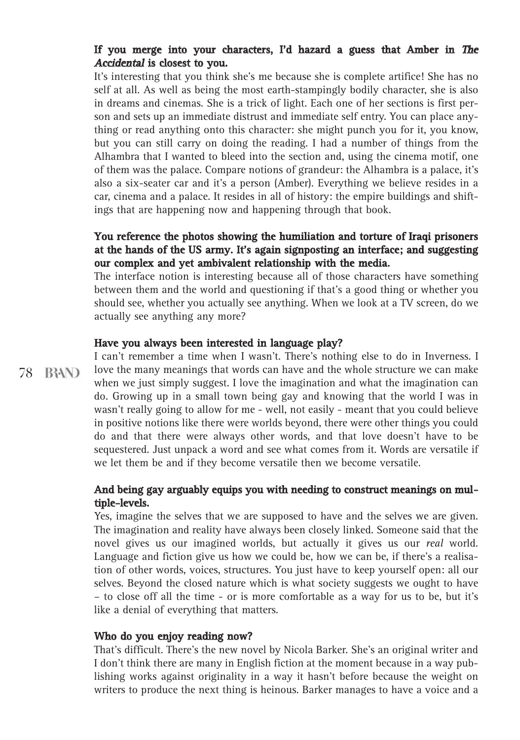# **If you merge into your characters, I'd hazard a guess that Amber in The Accidental is closest to you.**

It's interesting that you think she's me because she is complete artifice! She has no self at all. As well as being the most earth-stampingly bodily character, she is also in dreams and cinemas. She is a trick of light. Each one of her sections is first person and sets up an immediate distrust and immediate self entry. You can place anything or read anything onto this character: she might punch you for it, you know, but you can still carry on doing the reading. I had a number of things from the Alhambra that I wanted to bleed into the section and, using the cinema motif, one of them was the palace. Compare notions of grandeur: the Alhambra is a palace, it's also a six-seater car and it's a person (Amber). Everything we believe resides in a car, cinema and a palace. It resides in all of history: the empire buildings and shiftings that are happening now and happening through that book.

# **You reference the photos showing the humiliation and torture of Iraqi prisoners at the hands of the US army. It's again signposting an interface; and suggesting our complex and yet ambivalent relationship with the media.**

The interface notion is interesting because all of those characters have something between them and the world and questioning if that's a good thing or whether you should see, whether you actually see anything. When we look at a TV screen, do we actually see anything any more?

# **Have you always been interested in language play?**

78 B3AN)

I can't remember a time when I wasn't. There's nothing else to do in Inverness. I love the many meanings that words can have and the whole structure we can make when we just simply suggest. I love the imagination and what the imagination can do. Growing up in a small town being gay and knowing that the world I was in wasn't really going to allow for me - well, not easily - meant that you could believe in positive notions like there were worlds beyond, there were other things you could do and that there were always other words, and that love doesn't have to be sequestered. Just unpack a word and see what comes from it. Words are versatile if we let them be and if they become versatile then we become versatile.

# **And being gay arguably equips you with needing to construct meanings on multiple-levels.**

Yes, imagine the selves that we are supposed to have and the selves we are given. The imagination and reality have always been closely linked. Someone said that the novel gives us our imagined worlds, but actually it gives us our *real* world. Language and fiction give us how we could be, how we can be, if there's a realisation of other words, voices, structures. You just have to keep yourself open: all our selves. Beyond the closed nature which is what society suggests we ought to have – to close off all the time - or is more comfortable as a way for us to be, but it's like a denial of everything that matters.

#### **Who do you enjoy reading now?**

That's difficult. There's the new novel by Nicola Barker. She's an original writer and I don't think there are many in English fiction at the moment because in a way publishing works against originality in a way it hasn't before because the weight on writers to produce the next thing is heinous. Barker manages to have a voice and a